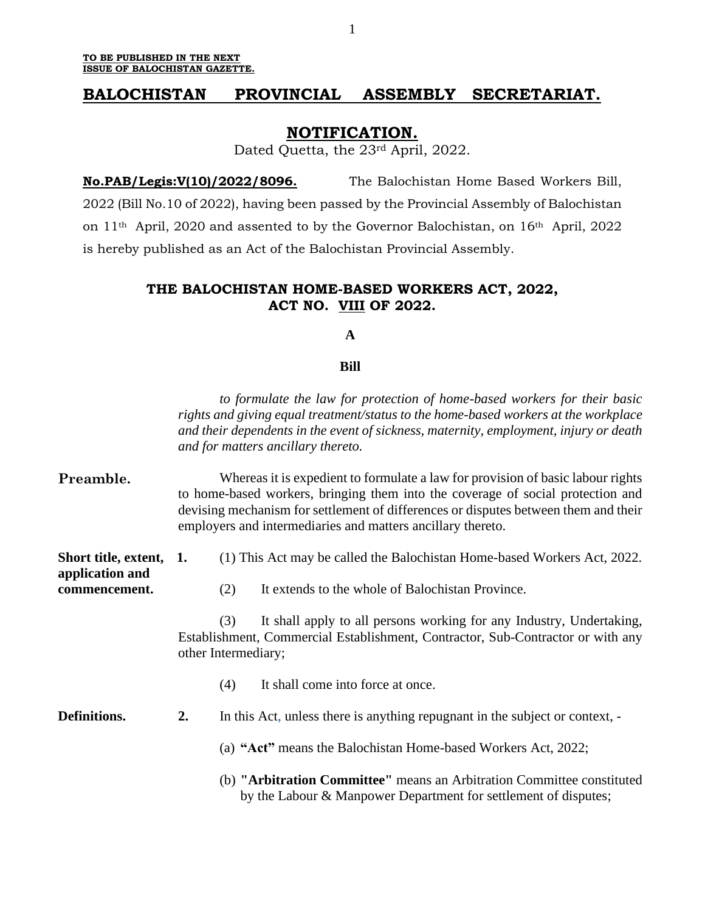# **BALOCHISTAN PROVINCIAL ASSEMBLY SECRETARIAT.**

## **NOTIFICATION.**

Dated Quetta, the 23rd April, 2022.

**No.PAB/Legis:V(10)/2022/8096.** The Balochistan Home Based Workers Bill, 2022 (Bill No.10 of 2022), having been passed by the Provincial Assembly of Balochistan on 11th April, 2020 and assented to by the Governor Balochistan, on 16th April, 2022 is hereby published as an Act of the Balochistan Provincial Assembly.

# **THE BALOCHISTAN HOME-BASED WORKERS ACT, 2022, ACT NO. VIII OF 2022.**

### **A**

#### **Bill**

*to formulate the law for protection of home-based workers for their basic rights and giving equal treatment/status to the home-based workers at the workplace and their dependents in the event of sickness, maternity, employment, injury or death and for matters ancillary thereto.*

| Preamble.                                                   | Whereas it is expedient to formulate a law for provision of basic labour rights<br>to home-based workers, bringing them into the coverage of social protection and<br>devising mechanism for settlement of differences or disputes between them and their<br>employers and intermediaries and matters ancillary thereto. |                                                                                                                                                                                       |                                                                                                                                           |  |  |
|-------------------------------------------------------------|--------------------------------------------------------------------------------------------------------------------------------------------------------------------------------------------------------------------------------------------------------------------------------------------------------------------------|---------------------------------------------------------------------------------------------------------------------------------------------------------------------------------------|-------------------------------------------------------------------------------------------------------------------------------------------|--|--|
| Short title, extent, 1.<br>application and<br>commencement. |                                                                                                                                                                                                                                                                                                                          | (1) This Act may be called the Balochistan Home-based Workers Act, 2022.                                                                                                              |                                                                                                                                           |  |  |
|                                                             |                                                                                                                                                                                                                                                                                                                          | (2)                                                                                                                                                                                   | It extends to the whole of Balochistan Province.                                                                                          |  |  |
|                                                             |                                                                                                                                                                                                                                                                                                                          | It shall apply to all persons working for any Industry, Undertaking,<br>(3)<br>Establishment, Commercial Establishment, Contractor, Sub-Contractor or with any<br>other Intermediary; |                                                                                                                                           |  |  |
|                                                             |                                                                                                                                                                                                                                                                                                                          | (4)                                                                                                                                                                                   | It shall come into force at once.                                                                                                         |  |  |
| Definitions.                                                | 2.                                                                                                                                                                                                                                                                                                                       |                                                                                                                                                                                       | In this Act, unless there is anything repugnant in the subject or context, -                                                              |  |  |
|                                                             |                                                                                                                                                                                                                                                                                                                          |                                                                                                                                                                                       | (a) "Act" means the Balochistan Home-based Workers Act, 2022;                                                                             |  |  |
|                                                             |                                                                                                                                                                                                                                                                                                                          |                                                                                                                                                                                       | (b) "Arbitration Committee" means an Arbitration Committee constituted<br>by the Labour & Manpower Department for settlement of disputes; |  |  |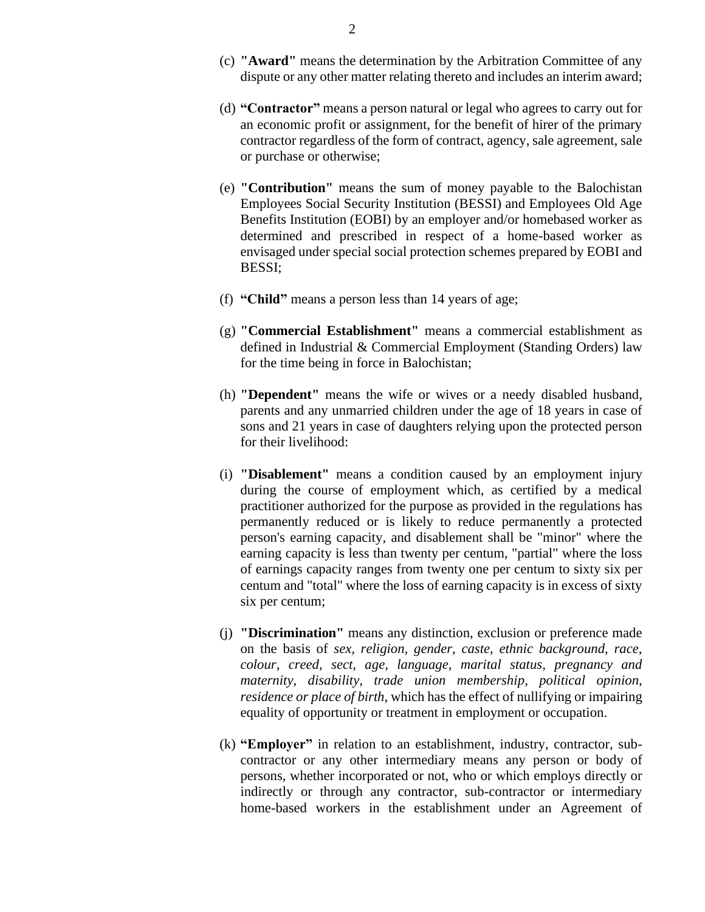- (c) **"Award"** means the determination by the Arbitration Committee of any dispute or any other matter relating thereto and includes an interim award;
- (d) **"Contractor"** means a person natural or legal who agrees to carry out for an economic profit or assignment, for the benefit of hirer of the primary contractor regardless of the form of contract, agency, sale agreement, sale or purchase or otherwise;
- (e) **"Contribution"** means the sum of money payable to the Balochistan Employees Social Security Institution (BESSI) and Employees Old Age Benefits Institution (EOBI) by an employer and/or homebased worker as determined and prescribed in respect of a home-based worker as envisaged under special social protection schemes prepared by EOBI and BESSI;
- (f) **"Child"** means a person less than 14 years of age;
- (g) **"Commercial Establishment"** means a commercial establishment as defined in Industrial & Commercial Employment (Standing Orders) law for the time being in force in Balochistan;
- (h) **"Dependent"** means the wife or wives or a needy disabled husband, parents and any unmarried children under the age of 18 years in case of sons and 21 years in case of daughters relying upon the protected person for their livelihood:
- (i) **"Disablement"** means a condition caused by an employment injury during the course of employment which, as certified by a medical practitioner authorized for the purpose as provided in the regulations has permanently reduced or is likely to reduce permanently a protected person's earning capacity, and disablement shall be "minor" where the earning capacity is less than twenty per centum, "partial" where the loss of earnings capacity ranges from twenty one per centum to sixty six per centum and "total" where the loss of earning capacity is in excess of sixty six per centum;
- (j) **"Discrimination"** means any distinction, exclusion or preference made on the basis of *sex, religion, gender, caste, ethnic background, race, colour, creed, sect, age, language, marital status, pregnancy and maternity, disability, trade union membership, political opinion, residence or place of birth*, which has the effect of nullifying or impairing equality of opportunity or treatment in employment or occupation.
- (k) **"Employer"** in relation to an establishment, industry, contractor, subcontractor or any other intermediary means any person or body of persons, whether incorporated or not, who or which employs directly or indirectly or through any contractor, sub-contractor or intermediary home-based workers in the establishment under an Agreement of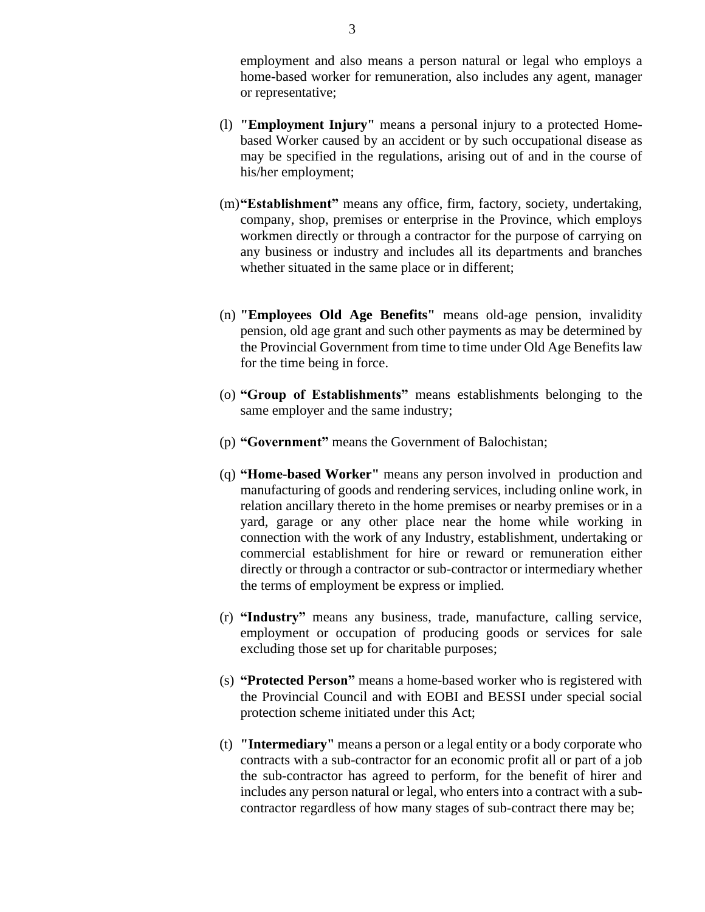employment and also means a person natural or legal who employs a home-based worker for remuneration, also includes any agent, manager or representative;

- (l) **"Employment Injury"** means a personal injury to a protected Homebased Worker caused by an accident or by such occupational disease as may be specified in the regulations, arising out of and in the course of his/her employment;
- (m)**"Establishment"** means any office, firm, factory, society, undertaking, company, shop, premises or enterprise in the Province, which employs workmen directly or through a contractor for the purpose of carrying on any business or industry and includes all its departments and branches whether situated in the same place or in different;
- (n) **"Employees Old Age Benefits"** means old-age pension, invalidity pension, old age grant and such other payments as may be determined by the Provincial Government from time to time under Old Age Benefits law for the time being in force.
- (o) **"Group of Establishments"** means establishments belonging to the same employer and the same industry;
- (p) **"Government"** means the Government of Balochistan;
- (q) **"Home-based Worker"** means any person involved in production and manufacturing of goods and rendering services, including online work, in relation ancillary thereto in the home premises or nearby premises or in a yard, garage or any other place near the home while working in connection with the work of any Industry, establishment, undertaking or commercial establishment for hire or reward or remuneration either directly or through a contractor or sub-contractor or intermediary whether the terms of employment be express or implied.
- (r) **"Industry"** means any business, trade, manufacture, calling service, employment or occupation of producing goods or services for sale excluding those set up for charitable purposes;
- (s) **"Protected Person"** means a home-based worker who is registered with the Provincial Council and with EOBI and BESSI under special social protection scheme initiated under this Act;
- (t) **"Intermediary"** means a person or a legal entity or a body corporate who contracts with a sub-contractor for an economic profit all or part of a job the sub-contractor has agreed to perform, for the benefit of hirer and includes any person natural or legal, who enters into a contract with a subcontractor regardless of how many stages of sub-contract there may be;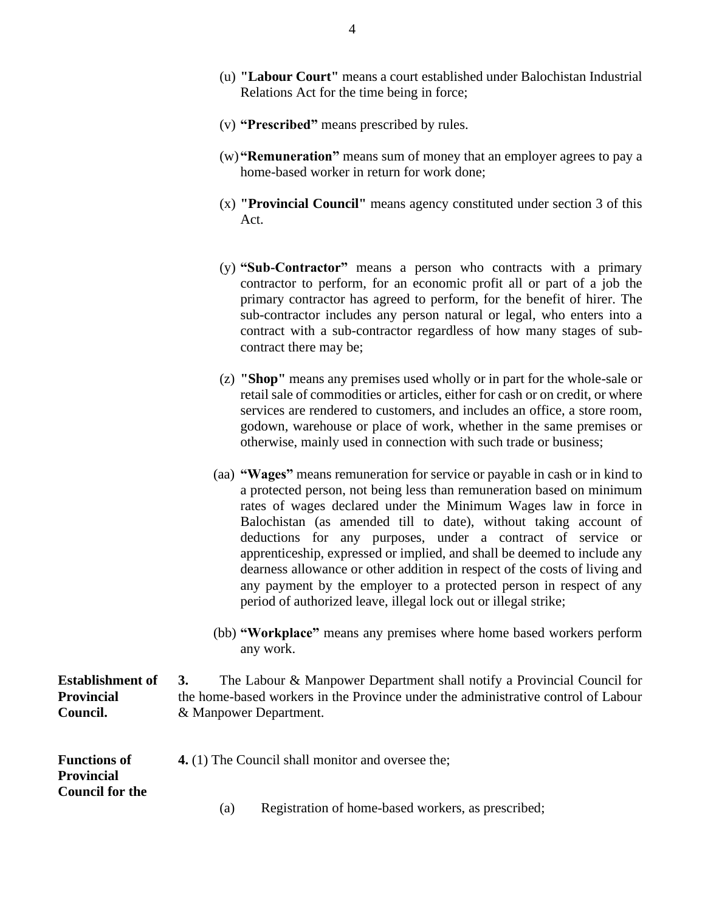- (u) **"Labour Court"** means a court established under Balochistan Industrial Relations Act for the time being in force;
- (v) **"Prescribed"** means prescribed by rules.
- (w)**"Remuneration"** means sum of money that an employer agrees to pay a home-based worker in return for work done;
- (x) **"Provincial Council"** means agency constituted under section 3 of this Act.
- (y) **"Sub-Contractor"** means a person who contracts with a primary contractor to perform, for an economic profit all or part of a job the primary contractor has agreed to perform, for the benefit of hirer. The sub-contractor includes any person natural or legal, who enters into a contract with a sub-contractor regardless of how many stages of subcontract there may be;
- (z) **"Shop"** means any premises used wholly or in part for the whole-sale or retail sale of commodities or articles, either for cash or on credit, or where services are rendered to customers, and includes an office, a store room, godown, warehouse or place of work, whether in the same premises or otherwise, mainly used in connection with such trade or business;
- (aa) **"Wages"** means remuneration for service or payable in cash or in kind to a protected person, not being less than remuneration based on minimum rates of wages declared under the Minimum Wages law in force in Balochistan (as amended till to date), without taking account of deductions for any purposes, under a contract of service or apprenticeship, expressed or implied, and shall be deemed to include any dearness allowance or other addition in respect of the costs of living and any payment by the employer to a protected person in respect of any period of authorized leave, illegal lock out or illegal strike;
- (bb) **"Workplace"** means any premises where home based workers perform any work.

**Establishment of Provincial Council. 3.** The Labour & Manpower Department shall notify a Provincial Council for the home-based workers in the Province under the administrative control of Labour & Manpower Department.

**Functions of Provincial Council for the 4.** (1) The Council shall monitor and oversee the;

(a) Registration of home-based workers, as prescribed;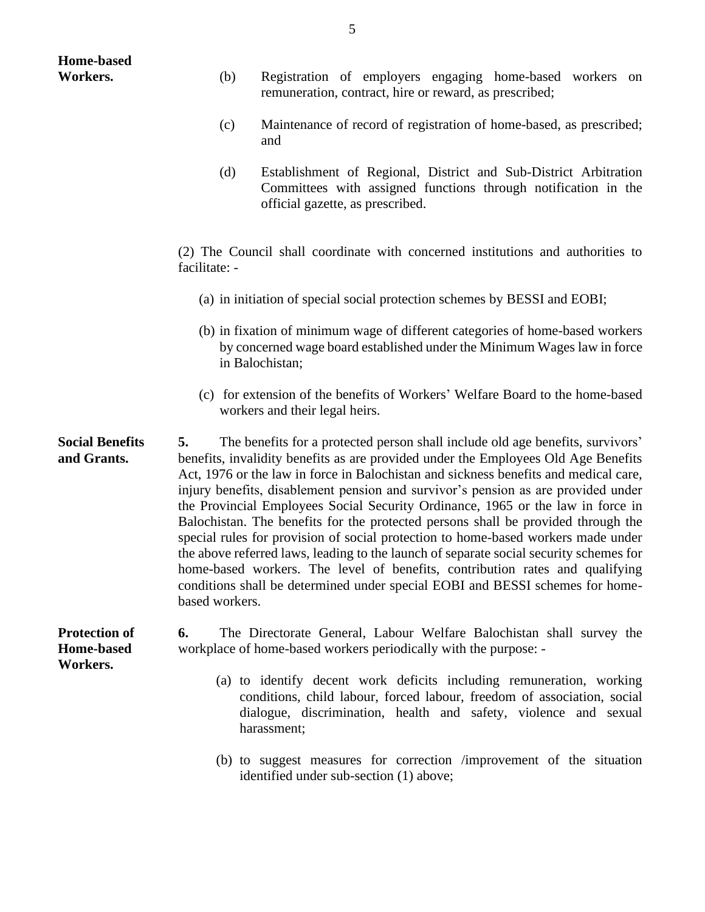| <b>Home-based</b>                                     |                                                                                                                                                                                                                                                                                                                                                                                                                                                                                                                                                                                                                                                                                                                                                                                                                                                                                                   |                                                                                                                                                                                                                                    |  |  |  |  |  |
|-------------------------------------------------------|---------------------------------------------------------------------------------------------------------------------------------------------------------------------------------------------------------------------------------------------------------------------------------------------------------------------------------------------------------------------------------------------------------------------------------------------------------------------------------------------------------------------------------------------------------------------------------------------------------------------------------------------------------------------------------------------------------------------------------------------------------------------------------------------------------------------------------------------------------------------------------------------------|------------------------------------------------------------------------------------------------------------------------------------------------------------------------------------------------------------------------------------|--|--|--|--|--|
| Workers.                                              | (b)                                                                                                                                                                                                                                                                                                                                                                                                                                                                                                                                                                                                                                                                                                                                                                                                                                                                                               | Registration of employers engaging home-based workers on<br>remuneration, contract, hire or reward, as prescribed;                                                                                                                 |  |  |  |  |  |
|                                                       | (c)                                                                                                                                                                                                                                                                                                                                                                                                                                                                                                                                                                                                                                                                                                                                                                                                                                                                                               | Maintenance of record of registration of home-based, as prescribed;<br>and                                                                                                                                                         |  |  |  |  |  |
|                                                       | (d)<br>Establishment of Regional, District and Sub-District Arbitration<br>Committees with assigned functions through notification in the<br>official gazette, as prescribed.                                                                                                                                                                                                                                                                                                                                                                                                                                                                                                                                                                                                                                                                                                                     |                                                                                                                                                                                                                                    |  |  |  |  |  |
|                                                       | (2) The Council shall coordinate with concerned institutions and authorities to<br>facilitate: -                                                                                                                                                                                                                                                                                                                                                                                                                                                                                                                                                                                                                                                                                                                                                                                                  |                                                                                                                                                                                                                                    |  |  |  |  |  |
|                                                       | (a) in initiation of special social protection schemes by BESSI and EOBI;                                                                                                                                                                                                                                                                                                                                                                                                                                                                                                                                                                                                                                                                                                                                                                                                                         |                                                                                                                                                                                                                                    |  |  |  |  |  |
|                                                       | (b) in fixation of minimum wage of different categories of home-based workers<br>by concerned wage board established under the Minimum Wages law in force<br>in Balochistan;                                                                                                                                                                                                                                                                                                                                                                                                                                                                                                                                                                                                                                                                                                                      |                                                                                                                                                                                                                                    |  |  |  |  |  |
|                                                       |                                                                                                                                                                                                                                                                                                                                                                                                                                                                                                                                                                                                                                                                                                                                                                                                                                                                                                   | (c) for extension of the benefits of Workers' Welfare Board to the home-based<br>workers and their legal heirs.                                                                                                                    |  |  |  |  |  |
| <b>Social Benefits</b><br>and Grants.                 | The benefits for a protected person shall include old age benefits, survivors'<br>5.<br>benefits, invalidity benefits as are provided under the Employees Old Age Benefits<br>Act, 1976 or the law in force in Balochistan and sickness benefits and medical care,<br>injury benefits, disablement pension and survivor's pension as are provided under<br>the Provincial Employees Social Security Ordinance, 1965 or the law in force in<br>Balochistan. The benefits for the protected persons shall be provided through the<br>special rules for provision of social protection to home-based workers made under<br>the above referred laws, leading to the launch of separate social security schemes for<br>home-based workers. The level of benefits, contribution rates and qualifying<br>conditions shall be determined under special EOBI and BESSI schemes for home-<br>based workers. |                                                                                                                                                                                                                                    |  |  |  |  |  |
| <b>Protection of</b><br><b>Home-based</b><br>Workers. | 6.                                                                                                                                                                                                                                                                                                                                                                                                                                                                                                                                                                                                                                                                                                                                                                                                                                                                                                | The Directorate General, Labour Welfare Balochistan shall survey the<br>workplace of home-based workers periodically with the purpose: -                                                                                           |  |  |  |  |  |
|                                                       |                                                                                                                                                                                                                                                                                                                                                                                                                                                                                                                                                                                                                                                                                                                                                                                                                                                                                                   | (a) to identify decent work deficits including remuneration, working<br>conditions, child labour, forced labour, freedom of association, social<br>dialogue, discrimination, health and safety, violence and sexual<br>harassment; |  |  |  |  |  |
|                                                       |                                                                                                                                                                                                                                                                                                                                                                                                                                                                                                                                                                                                                                                                                                                                                                                                                                                                                                   | (b) to suggest measures for correction /improvement of the situation<br>identified under sub-section (1) above;                                                                                                                    |  |  |  |  |  |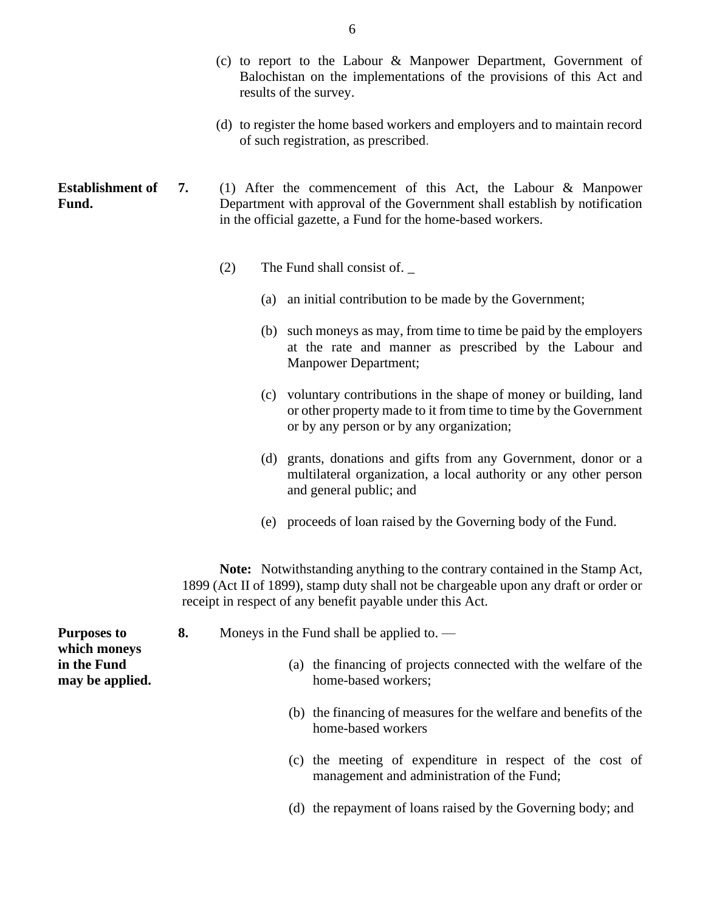- (c) to report to the Labour & Manpower Department, Government of Balochistan on the implementations of the provisions of this Act and results of the survey.
- (d) to register the home based workers and employers and to maintain record of such registration, as prescribed.

#### **Establishment of Fund. 7.** (1) After the commencement of this Act, the Labour & Manpower Department with approval of the Government shall establish by notification in the official gazette, a Fund for the home-based workers.

- (2) The Fund shall consist of. \_
	- (a) an initial contribution to be made by the Government;
	- (b) such moneys as may, from time to time be paid by the employers at the rate and manner as prescribed by the Labour and Manpower Department;
	- (c) voluntary contributions in the shape of money or building, land or other property made to it from time to time by the Government or by any person or by any organization;
	- (d) grants, donations and gifts from any Government, donor or a multilateral organization, a local authority or any other person and general public; and
	- (e) proceeds of loan raised by the Governing body of the Fund.

**Note:** Notwithstanding anything to the contrary contained in the Stamp Act, 1899 (Act II of 1899), stamp duty shall not be chargeable upon any draft or order or receipt in respect of any benefit payable under this Act.

| <b>Purposes to</b>                             | 8. | Moneys in the Fund shall be applied to. $\qquad$ |                                                                                         |  |  |
|------------------------------------------------|----|--------------------------------------------------|-----------------------------------------------------------------------------------------|--|--|
| which moneys<br>in the Fund<br>may be applied. |    |                                                  | (a) the financing of projects connected with the welfare of the<br>home-based workers;  |  |  |
|                                                |    |                                                  | (b) the financing of measures for the welfare and benefits of the<br>home-based workers |  |  |

- (c) the meeting of expenditure in respect of the cost of management and administration of the Fund;
- (d) the repayment of loans raised by the Governing body; and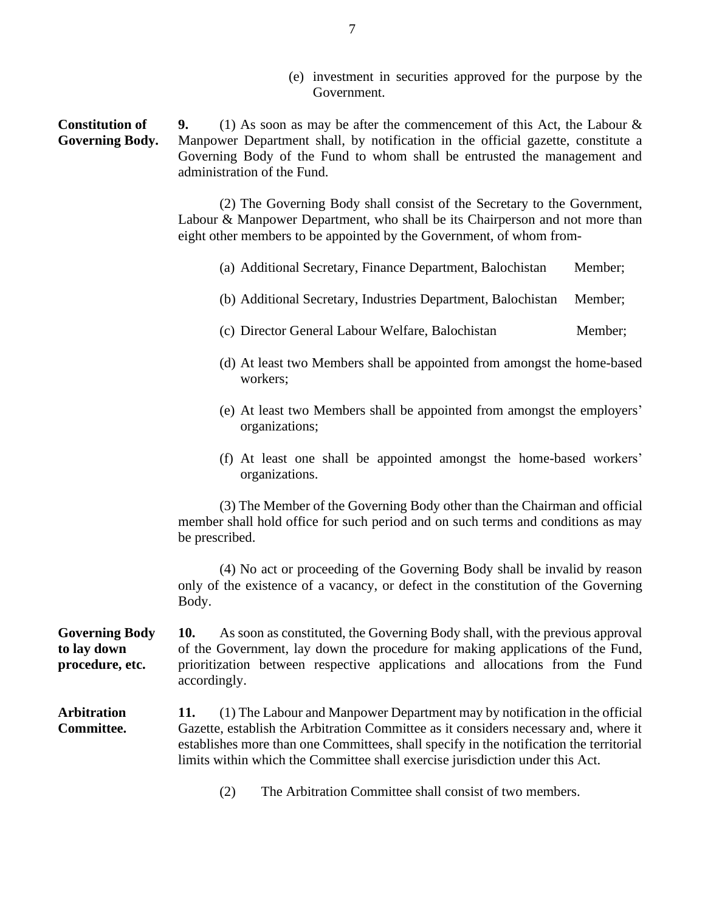(e) investment in securities approved for the purpose by the Government.

**Constitution of Governing Body. 9.** (1) As soon as may be after the commencement of this Act, the Labour & Manpower Department shall, by notification in the official gazette, constitute a Governing Body of the Fund to whom shall be entrusted the management and administration of the Fund.

> (2) The Governing Body shall consist of the Secretary to the Government, Labour & Manpower Department, who shall be its Chairperson and not more than eight other members to be appointed by the Government, of whom from-

- (a) Additional Secretary, Finance Department, Balochistan Member;
- (b) Additional Secretary, Industries Department, Balochistan Member;
- (c) Director General Labour Welfare, Balochistan Member;
- (d) At least two Members shall be appointed from amongst the home-based workers;
- (e) At least two Members shall be appointed from amongst the employers' organizations;
- (f) At least one shall be appointed amongst the home-based workers' organizations.

(3) The Member of the Governing Body other than the Chairman and official member shall hold office for such period and on such terms and conditions as may be prescribed.

(4) No act or proceeding of the Governing Body shall be invalid by reason only of the existence of a vacancy, or defect in the constitution of the Governing Body.

**Governing Body to lay down procedure, etc. 10.** As soon as constituted, the Governing Body shall, with the previous approval of the Government, lay down the procedure for making applications of the Fund, prioritization between respective applications and allocations from the Fund accordingly.

**Arbitration Committee. 11.** (1) The Labour and Manpower Department may by notification in the official Gazette, establish the Arbitration Committee as it considers necessary and, where it establishes more than one Committees, shall specify in the notification the territorial limits within which the Committee shall exercise jurisdiction under this Act.

(2) The Arbitration Committee shall consist of two members.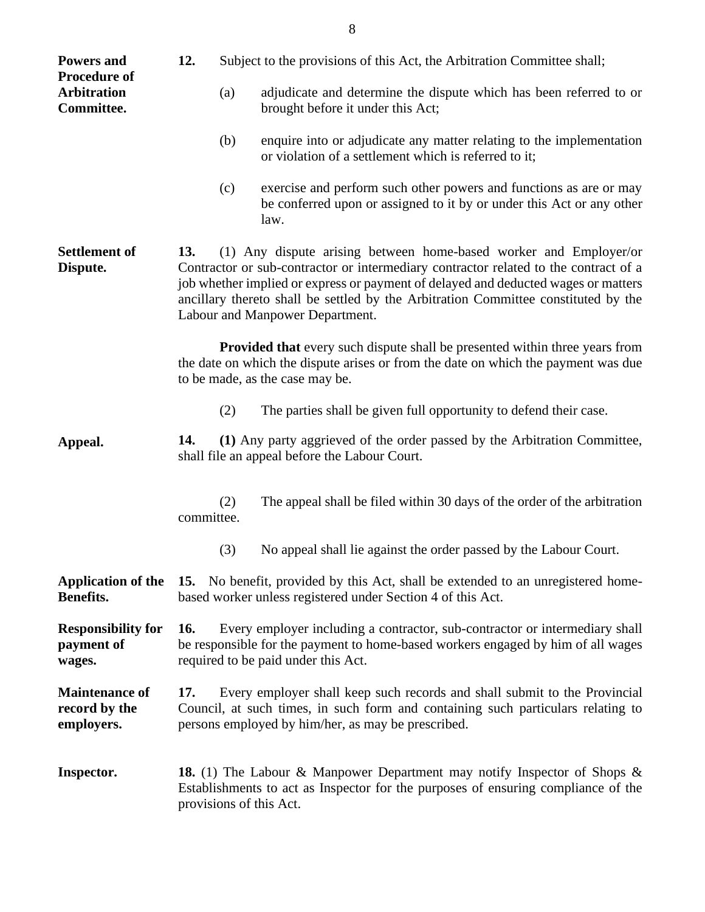| <b>Powers and</b><br><b>Procedure of</b>             | 12.                                                                                                                                                                                                                                                                                                                                                                             | Subject to the provisions of this Act, the Arbitration Committee shall; |                                                                                                                                                                                                             |  |  |
|------------------------------------------------------|---------------------------------------------------------------------------------------------------------------------------------------------------------------------------------------------------------------------------------------------------------------------------------------------------------------------------------------------------------------------------------|-------------------------------------------------------------------------|-------------------------------------------------------------------------------------------------------------------------------------------------------------------------------------------------------------|--|--|
| <b>Arbitration</b><br>Committee.                     |                                                                                                                                                                                                                                                                                                                                                                                 | (a)                                                                     | adjudicate and determine the dispute which has been referred to or<br>brought before it under this Act;                                                                                                     |  |  |
|                                                      |                                                                                                                                                                                                                                                                                                                                                                                 | (b)                                                                     | enquire into or adjudicate any matter relating to the implementation<br>or violation of a settlement which is referred to it;                                                                               |  |  |
|                                                      |                                                                                                                                                                                                                                                                                                                                                                                 | (c)                                                                     | exercise and perform such other powers and functions as are or may<br>be conferred upon or assigned to it by or under this Act or any other<br>law.                                                         |  |  |
| <b>Settlement of</b><br>Dispute.                     | (1) Any dispute arising between home-based worker and Employer/or<br>13.<br>Contractor or sub-contractor or intermediary contractor related to the contract of a<br>job whether implied or express or payment of delayed and deducted wages or matters<br>ancillary thereto shall be settled by the Arbitration Committee constituted by the<br>Labour and Manpower Department. |                                                                         |                                                                                                                                                                                                             |  |  |
|                                                      |                                                                                                                                                                                                                                                                                                                                                                                 |                                                                         | <b>Provided that</b> every such dispute shall be presented within three years from<br>the date on which the dispute arises or from the date on which the payment was due<br>to be made, as the case may be. |  |  |
|                                                      |                                                                                                                                                                                                                                                                                                                                                                                 | (2)                                                                     | The parties shall be given full opportunity to defend their case.                                                                                                                                           |  |  |
| Appeal.                                              | 14.<br>shall file an appeal before the Labour Court.                                                                                                                                                                                                                                                                                                                            |                                                                         | (1) Any party aggrieved of the order passed by the Arbitration Committee,                                                                                                                                   |  |  |
|                                                      | committee.                                                                                                                                                                                                                                                                                                                                                                      | (2)                                                                     | The appeal shall be filed within 30 days of the order of the arbitration                                                                                                                                    |  |  |
|                                                      |                                                                                                                                                                                                                                                                                                                                                                                 | (3)                                                                     | No appeal shall lie against the order passed by the Labour Court.                                                                                                                                           |  |  |
| <b>Application of the</b><br>Benefits.               | 15. No benefit, provided by this Act, shall be extended to an unregistered home-<br>based worker unless registered under Section 4 of this Act.                                                                                                                                                                                                                                 |                                                                         |                                                                                                                                                                                                             |  |  |
| <b>Responsibility for</b><br>payment of<br>wages.    | Every employer including a contractor, sub-contractor or intermediary shall<br><b>16.</b><br>be responsible for the payment to home-based workers engaged by him of all wages<br>required to be paid under this Act.                                                                                                                                                            |                                                                         |                                                                                                                                                                                                             |  |  |
| <b>Maintenance of</b><br>record by the<br>employers. | Every employer shall keep such records and shall submit to the Provincial<br>17.<br>Council, at such times, in such form and containing such particulars relating to<br>persons employed by him/her, as may be prescribed.                                                                                                                                                      |                                                                         |                                                                                                                                                                                                             |  |  |
| Inspector.                                           | <b>18.</b> (1) The Labour & Manpower Department may notify Inspector of Shops &<br>Establishments to act as Inspector for the purposes of ensuring compliance of the<br>provisions of this Act.                                                                                                                                                                                 |                                                                         |                                                                                                                                                                                                             |  |  |